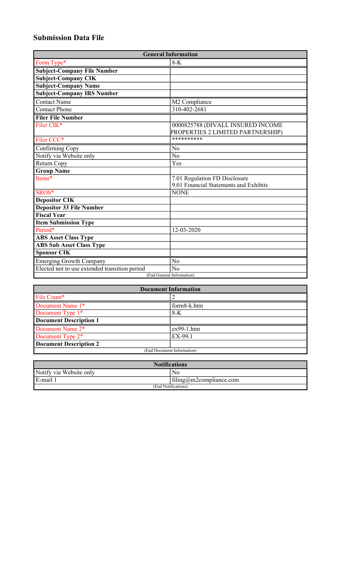## **Submission Data File**

| <b>General Information</b>                    |                                                                        |  |
|-----------------------------------------------|------------------------------------------------------------------------|--|
| Form Type*                                    | $8-K$                                                                  |  |
| <b>Subject-Company File Number</b>            |                                                                        |  |
| <b>Subject-Company CIK</b>                    |                                                                        |  |
| <b>Subject-Company Name</b>                   |                                                                        |  |
| <b>Subject-Company IRS Number</b>             |                                                                        |  |
| Contact Name                                  | M2 Compliance                                                          |  |
| <b>Contact Phone</b>                          | 310-402-2681                                                           |  |
| <b>Filer File Number</b>                      |                                                                        |  |
| Filer CIK*                                    | 0000825788 (DIVALL INSURED INCOME<br>PROPERTIES 2 LIMITED PARTNERSHIP) |  |
| Filer CCC*                                    | **********                                                             |  |
| Confirming Copy                               | No                                                                     |  |
| Notify via Website only                       | N <sub>o</sub>                                                         |  |
| Return Copy                                   | Yes                                                                    |  |
| <b>Group Name</b>                             |                                                                        |  |
| Items*                                        | 7.01 Regulation FD Disclosure                                          |  |
|                                               | 9.01 Financial Statements and Exhibits                                 |  |
| SROS*                                         | <b>NONE</b>                                                            |  |
| <b>Depositor CIK</b>                          |                                                                        |  |
| <b>Depositor 33 File Number</b>               |                                                                        |  |
| <b>Fiscal Year</b>                            |                                                                        |  |
| <b>Item Submission Type</b>                   |                                                                        |  |
| Period*                                       | 12-03-2020                                                             |  |
| <b>ABS Asset Class Type</b>                   |                                                                        |  |
| <b>ABS Sub Asset Class Type</b>               |                                                                        |  |
| <b>Sponsor CIK</b>                            |                                                                        |  |
| <b>Emerging Growth Company</b>                | No                                                                     |  |
| Elected not to use extended transition period | No                                                                     |  |
| (End General Information)                     |                                                                        |  |

| <b>Document Information</b>   |              |  |
|-------------------------------|--------------|--|
| File Count*                   |              |  |
| Document Name 1*              | form8-k.htm  |  |
| Document Type 1 <sup>*</sup>  | $8-K$        |  |
| <b>Document Description 1</b> |              |  |
| Document Name 2*              | $ex99-1.htm$ |  |
| Document Type 2 <sup>*</sup>  | EX-99.1      |  |
| <b>Document Description 2</b> |              |  |
| (End Document Information)    |              |  |

| <b>Notifications</b>    |                         |  |
|-------------------------|-------------------------|--|
| Notify via Website only | No                      |  |
| $E$ -mail               | filing@m2compliance.com |  |
| (End Notifications)     |                         |  |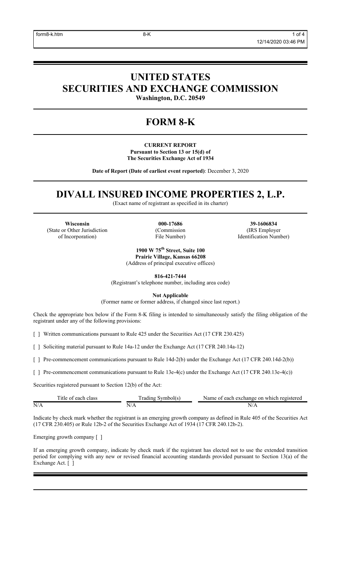# **UNITED STATES SECURITIES AND EXCHANGE COMMISSION**

**Washington, D.C. 20549**

## **FORM 8-K**

**CURRENT REPORT Pursuant to Section 13 or 15(d) of The Securities Exchange Act of 1934**

**Date of Report (Date of earliest event reported)**: December 3, 2020

## **DIVALL INSURED INCOME PROPERTIES 2, L.P.**

(Exact name of registrant as specified in its charter)

**Wisconsin 000-17686 39-1606834** (State or Other Jurisdiction of Incorporation)

(Commission File Number)

(IRS Employer Identification Number)

**1900 W 75th Street, Suite 100 Prairie Village, Kansas 66208** (Address of principal executive offices)

**816-421-7444**

(Registrant's telephone number, including area code)

**Not Applicable**

(Former name or former address, if changed since last report.)

Check the appropriate box below if the Form 8-K filing is intended to simultaneously satisfy the filing obligation of the registrant under any of the following provisions:

[ ] Written communications pursuant to Rule 425 under the Securities Act (17 CFR 230.425)

[ ] Soliciting material pursuant to Rule 14a-12 under the Exchange Act (17 CFR 240.14a-12)

[ ] Pre-commencement communications pursuant to Rule 14d-2(b) under the Exchange Act (17 CFR 240.14d-2(b))

[ ] Pre-commencement communications pursuant to Rule 13e-4(c) under the Exchange Act (17 CFR 240.13e-4(c))

Securities registered pursuant to Section 12(b) of the Act:

|     |        | registereo<br>exchange<br>which<br>lame<br>n<br>≘ach⊥ |
|-----|--------|-------------------------------------------------------|
| N/A | ◥<br>- | IN.<br>$\mathbf{v}$                                   |

Indicate by check mark whether the registrant is an emerging growth company as defined in Rule 405 of the Securities Act (17 CFR 230.405) or Rule 12b-2 of the Securities Exchange Act of 1934 (17 CFR 240.12b-2).

Emerging growth company [ ]

If an emerging growth company, indicate by check mark if the registrant has elected not to use the extended transition period for complying with any new or revised financial accounting standards provided pursuant to Section 13(a) of the Exchange Act. [ ]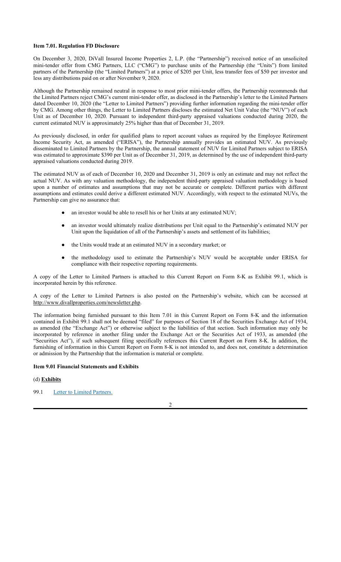### **Item 7.01. Regulation FD Disclosure**

On December 3, 2020, DiVall Insured Income Properties 2, L.P. (the "Partnership") received notice of an unsolicited mini-tender offer from CMG Partners, LLC ("CMG") to purchase units of the Partnership (the "Units") from limited partners of the Partnership (the "Limited Partners") at a price of \$205 per Unit, less transfer fees of \$50 per investor and less any distributions paid on or after November 9, 2020.

Although the Partnership remained neutral in response to most prior mini-tender offers, the Partnership recommends that the Limited Partners reject CMG's current mini-tender offer, as disclosed in the Partnership's letter to the Limited Partners dated December 10, 2020 (the "Letter to Limited Partners") providing further information regarding the mini-tender offer by CMG. Among other things, the Letter to Limited Partners discloses the estimated Net Unit Value (the "NUV") of each Unit as of December 10, 2020. Pursuant to independent third-party appraised valuations conducted during 2020, the current estimated NUV is approximately 25% higher than that of December 31, 2019.

As previously disclosed, in order for qualified plans to report account values as required by the Employee Retirement Income Security Act, as amended ("ERISA"), the Partnership annually provides an estimated NUV. As previously disseminated to Limited Partners by the Partnership, the annual statement of NUV for Limited Partners subject to ERISA was estimated to approximate \$390 per Unit as of December 31, 2019, as determined by the use of independent third-party appraised valuations conducted during 2019.

The estimated NUV as of each of December 10, 2020 and December 31, 2019 is only an estimate and may not reflect the actual NUV. As with any valuation methodology, the independent third-party appraised valuation methodology is based upon a number of estimates and assumptions that may not be accurate or complete. Different parties with different assumptions and estimates could derive a different estimated NUV. Accordingly, with respect to the estimated NUVs, the Partnership can give no assurance that:

- an investor would be able to resell his or her Units at any estimated NUV;
- an investor would ultimately realize distributions per Unit equal to the Partnership's estimated NUV per Unit upon the liquidation of all of the Partnership's assets and settlement of its liabilities;
- the Units would trade at an estimated NUV in a secondary market; or
- the methodology used to estimate the Partnership's NUV would be acceptable under ERISA for compliance with their respective reporting requirements.

A copy of the Letter to Limited Partners is attached to this Current Report on Form 8-K as Exhibit 99.1, which is incorporated herein by this reference.

A copy of the Letter to Limited Partners is also posted on the Partnership's website, which can be accessed at http://www.divallproperties.com/newsletter.php.

The information being furnished pursuant to this Item 7.01 in this Current Report on Form 8-K and the information contained in Exhibit 99.1 shall not be deemed "filed" for purposes of Section 18 of the Securities Exchange Act of 1934, as amended (the "Exchange Act") or otherwise subject to the liabilities of that section. Such information may only be incorporated by reference in another filing under the Exchange Act or the Securities Act of 1933, as amended (the "Securities Act"), if such subsequent filing specifically references this Current Report on Form 8-K. In addition, the furnishing of information in this Current Report on Form 8-K is not intended to, and does not, constitute a determination or admission by the Partnership that the information is material or complete.

## **Item 9.01 Financial Statements and Exhibits**

## (d) **Exhibits**

## 99.1 Letter to Limited Partners.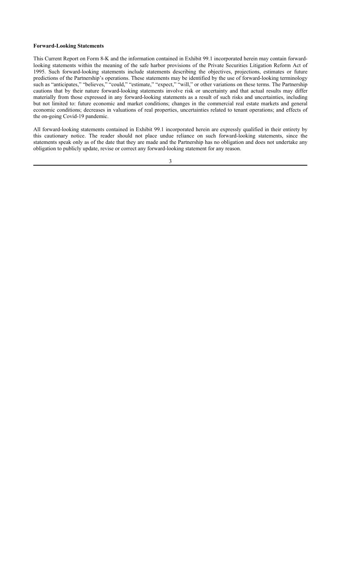#### **Forward-Looking Statements**

This Current Report on Form 8-K and the information contained in Exhibit 99.1 incorporated herein may contain forwardlooking statements within the meaning of the safe harbor provisions of the Private Securities Litigation Reform Act of 1995. Such forward-looking statements include statements describing the objectives, projections, estimates or future predictions of the Partnership's operations. These statements may be identified by the use of forward-looking terminology such as "anticipates," "believes," "could," "estimate," "expect," "will," or other variations on these terms. The Partnership cautions that by their nature forward-looking statements involve risk or uncertainty and that actual results may differ materially from those expressed in any forward-looking statements as a result of such risks and uncertainties, including but not limited to: future economic and market conditions; changes in the commercial real estate markets and general economic conditions; decreases in valuations of real properties, uncertainties related to tenant operations; and effects of the on-going Covid-19 pandemic.

All forward-looking statements contained in Exhibit 99.1 incorporated herein are expressly qualified in their entirety by this cautionary notice. The reader should not place undue reliance on such forward-looking statements, since the statements speak only as of the date that they are made and the Partnership has no obligation and does not undertake any obligation to publicly update, revise or correct any forward-looking statement for any reason.

3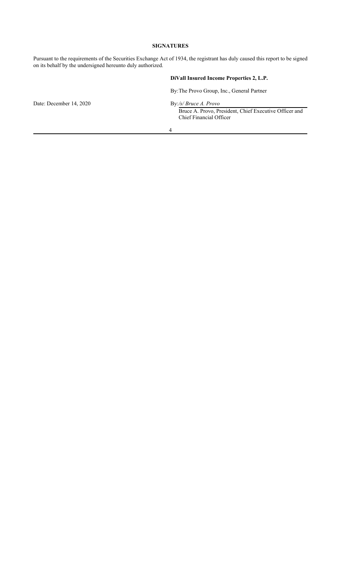## **SIGNATURES**

Pursuant to the requirements of the Securities Exchange Act of 1934, the registrant has duly caused this report to be signed on its behalf by the undersigned hereunto duly authorized.

## **DiVall Insured Income Properties 2, L.P.**

By: The Provo Group, Inc., General Partner

Date: December 14, 2020 By:/*s/ Bruce A. Provo* 

Bruce A. Provo, President, Chief Executive Officer and Chief Financial Officer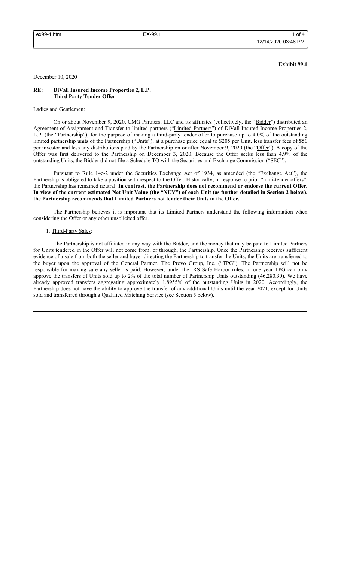### **Exhibit 99.1**

December 10, 2020

#### **RE: DiVall Insured Income Properties 2, L.P. Third Party Tender Offer**

Ladies and Gentlemen:

On or about November 9, 2020, CMG Partners, LLC and its affiliates (collectively, the "Bidder") distributed an Agreement of Assignment and Transfer to limited partners ("Limited Partners") of DiVall Insured Income Properties 2, L.P. (the "Partnership"), for the purpose of making a third-party tender offer to purchase up to 4.0% of the outstanding limited partnership units of the Partnership ("Units"), at a purchase price equal to \$205 per Unit, less transfer fees of \$50 per investor and less any distributions paid by the Partnership on or after November 9, 2020 (the "Offer"). A copy of the Offer was first delivered to the Partnership on December 3, 2020. Because the Offer seeks less than 4.9% of the outstanding Units, the Bidder did not file a Schedule TO with the Securities and Exchange Commission ("SEC").

Pursuant to Rule 14e-2 under the Securities Exchange Act of 1934, as amended (the "Exchange Act"), the Partnership is obligated to take a position with respect to the Offer. Historically, in response to prior "mini-tender offers", the Partnership has remained neutral. **In contrast, the Partnership does not recommend or endorse the current Offer. In view of the current estimated Net Unit Value (the "NUV") of each Unit (as further detailed in Section 2 below), the Partnership recommends that Limited Partners not tender their Units in the Offer.** 

The Partnership believes it is important that its Limited Partners understand the following information when considering the Offer or any other unsolicited offer.

### 1. Third-Party Sales:

The Partnership is not affiliated in any way with the Bidder, and the money that may be paid to Limited Partners for Units tendered in the Offer will not come from, or through, the Partnership. Once the Partnership receives sufficient evidence of a sale from both the seller and buyer directing the Partnership to transfer the Units, the Units are transferred to the buyer upon the approval of the General Partner, The Provo Group, Inc. ("TPG"). The Partnership will not be responsible for making sure any seller is paid. However, under the IRS Safe Harbor rules, in one year TPG can only approve the transfers of Units sold up to 2% of the total number of Partnership Units outstanding (46,280.30). We have already approved transfers aggregating approximately 1.8955% of the outstanding Units in 2020. Accordingly, the Partnership does not have the ability to approve the transfer of any additional Units until the year 2021, except for Units sold and transferred through a Qualified Matching Service (see Section 5 below).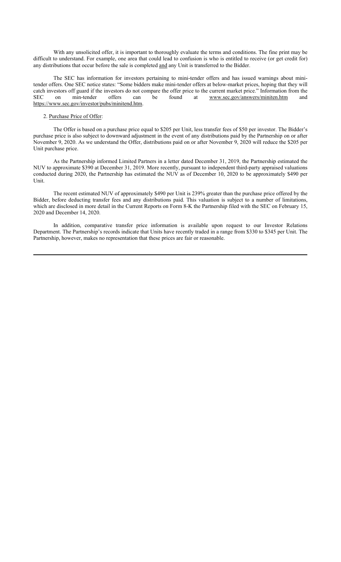With any unsolicited offer, it is important to thoroughly evaluate the terms and conditions. The fine print may be difficult to understand. For example, one area that could lead to confusion is who is entitled to receive (or get credit for) any distributions that occur before the sale is completed and any Unit is transferred to the Bidder.

The SEC has information for investors pertaining to mini-tender offers and has issued warnings about minitender offers. One SEC notice states: "Some bidders make mini-tender offers at below-market prices, hoping that they will catch investors off guard if the investors do not compare the offer price to the current market price." Information from the SEC on min-tender offers can be found at www.sec.gov/answers/miniten.htm and https://www.sec.gov/investor/pubs/minitend.htm.

## 2. Purchase Price of Offer:

The Offer is based on a purchase price equal to \$205 per Unit, less transfer fees of \$50 per investor. The Bidder's purchase price is also subject to downward adjustment in the event of any distributions paid by the Partnership on or after November 9, 2020. As we understand the Offer, distributions paid on or after November 9, 2020 will reduce the \$205 per Unit purchase price.

As the Partnership informed Limited Partners in a letter dated December 31, 2019, the Partnership estimated the NUV to approximate \$390 at December 31, 2019. More recently, pursuant to independent third-party appraised valuations conducted during 2020, the Partnership has estimated the NUV as of December 10, 2020 to be approximately \$490 per Unit.

The recent estimated NUV of approximately \$490 per Unit is 239% greater than the purchase price offered by the Bidder, before deducting transfer fees and any distributions paid. This valuation is subject to a number of limitations, which are disclosed in more detail in the Current Reports on Form 8-K the Partnership filed with the SEC on February 15, 2020 and December 14, 2020.

In addition, comparative transfer price information is available upon request to our Investor Relations Department. The Partnership's records indicate that Units have recently traded in a range from \$330 to \$345 per Unit. The Partnership, however, makes no representation that these prices are fair or reasonable.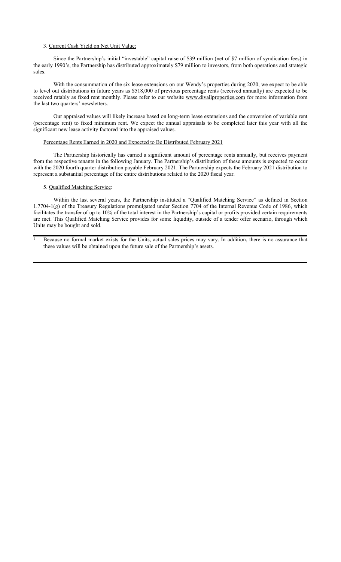#### 3. Current Cash Yield on Net Unit Value:

Since the Partnership's initial "investable" capital raise of \$39 million (net of \$7 million of syndication fees) in the early 1990's, the Partnership has distributed approximately \$79 million to investors, from both operations and strategic sales.

With the consummation of the six lease extensions on our Wendy's properties during 2020, we expect to be able to level out distributions in future years as \$518,000 of previous percentage rents (received annually) are expected to be received ratably as fixed rent monthly. Please refer to our website www.divallproperties.com for more information from the last two quarters' newsletters.

Our appraised values will likely increase based on long-term lease extensions and the conversion of variable rent (percentage rent) to fixed minimum rent. We expect the annual appraisals to be completed later this year with all the significant new lease activity factored into the appraised values.

#### Percentage Rents Earned in 2020 and Expected to Be Distributed February 2021

The Partnership historically has earned a significant amount of percentage rents annually, but receives payment from the respective tenants in the following January. The Partnership's distribution of these amounts is expected to occur with the 2020 fourth quarter distribution payable February 2021. The Partnership expects the February 2021 distribution to represent a substantial percentage of the entire distributions related to the 2020 fiscal year.

## 5. Qualified Matching Service:

Within the last several years, the Partnership instituted a "Qualified Matching Service" as defined in Section 1.7704-1(g) of the Treasury Regulations promulgated under Section 7704 of the Internal Revenue Code of 1986, which facilitates the transfer of up to 10% of the total interest in the Partnership's capital or profits provided certain requirements are met. This Qualified Matching Service provides for some liquidity, outside of a tender offer scenario, through which Units may be bought and sold.

<sup>1</sup> Because no formal market exists for the Units, actual sales prices may vary. In addition, there is no assurance that these values will be obtained upon the future sale of the Partnership's assets.